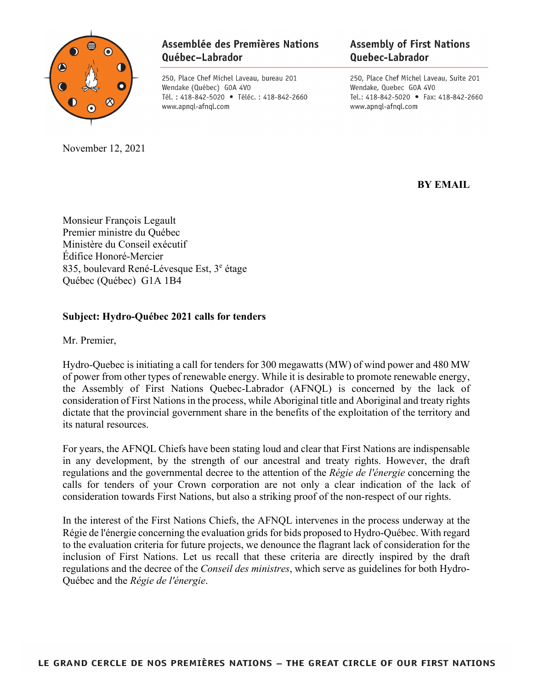

November 12, 2021

## Assemblée des Premières Nations Québec-Labrador

250, Place Chef Michel Laveau, bureau 201 Wendake (Québec) GOA 4VO Tél.: 418-842-5020 · Téléc.: 418-842-2660 www.apnql-afnql.com

## **Assembly of First Nations Quebec-Labrador**

250, Place Chef Michel Laveau, Suite 201 Wendake, Quebec GOA 4VO Tel.: 418-842-5020 • Fax: 418-842-2660 www.apnql-afnql.com

**BY EMAIL**

Monsieur François Legault Premier ministre du Québec Ministère du Conseil exécutif Édifice Honoré-Mercier 835, boulevard René-Lévesque Est,  $3^e$  étage Québec (Québec) G1A 1B4

## **Subject: Hydro-Québec 2021 calls for tenders**

Mr. Premier,

Hydro-Quebec is initiating a call for tenders for 300 megawatts (MW) of wind power and 480 MW of power from other types of renewable energy. While it is desirable to promote renewable energy, the Assembly of First Nations Quebec-Labrador (AFNQL) is concerned by the lack of consideration of First Nations in the process, while Aboriginal title and Aboriginal and treaty rights dictate that the provincial government share in the benefits of the exploitation of the territory and its natural resources.

For years, the AFNQL Chiefs have been stating loud and clear that First Nations are indispensable in any development, by the strength of our ancestral and treaty rights. However, the draft regulations and the governmental decree to the attention of the *Régie de l'énergie* concerning the calls for tenders of your Crown corporation are not only a clear indication of the lack of consideration towards First Nations, but also a striking proof of the non-respect of our rights.

In the interest of the First Nations Chiefs, the AFNQL intervenes in the process underway at the Régie de l'énergie concerning the evaluation grids for bids proposed to Hydro-Québec. With regard to the evaluation criteria for future projects, we denounce the flagrant lack of consideration for the inclusion of First Nations. Let us recall that these criteria are directly inspired by the draft regulations and the decree of the *Conseil des ministres*, which serve as guidelines for both Hydro-Québec and the *Régie de l'énergie*.